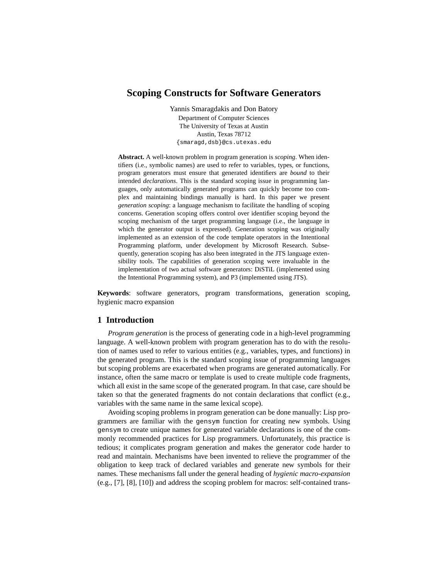## **Scoping Constructs for Software Generators**

Yannis Smaragdakis and Don Batory Department of Computer Sciences The University of Texas at Austin Austin, Texas 78712 {smaragd,dsb}@cs.utexas.edu

**Abstract.** A well-known problem in program generation is *scoping*. When identifiers (i.e., symbolic names) are used to refer to variables, types, or functions, program generators must ensure that generated identifiers are *bound* to their intended *declarations*. This is the standard scoping issue in programming languages, only automatically generated programs can quickly become too complex and maintaining bindings manually is hard. In this paper we present *generation scoping*: a language mechanism to facilitate the handling of scoping concerns. Generation scoping offers control over identifier scoping beyond the scoping mechanism of the target programming language (i.e., the language in which the generator output is expressed). Generation scoping was originally implemented as an extension of the code template operators in the Intentional Programming platform, under development by Microsoft Research. Subsequently, generation scoping has also been integrated in the JTS language extensibility tools. The capabilities of generation scoping were invaluable in the implementation of two actual software generators: DiSTiL (implemented using the Intentional Programming system), and P3 (implemented using JTS).

**Keywords**: software generators, program transformations, generation scoping, hygienic macro expansion

#### **1 Introduction**

*Program generation* is the process of generating code in a high-level programming language. A well-known problem with program generation has to do with the resolution of names used to refer to various entities (e.g., variables, types, and functions) in the generated program. This is the standard scoping issue of programming languages but scoping problems are exacerbated when programs are generated automatically. For instance, often the same macro or template is used to create multiple code fragments, which all exist in the same scope of the generated program. In that case, care should be taken so that the generated fragments do not contain declarations that conflict (e.g., variables with the same name in the same lexical scope).

Avoiding scoping problems in program generation can be done manually: Lisp programmers are familiar with the gensym function for creating new symbols. Using gensym to create unique names for generated variable declarations is one of the commonly recommended practices for Lisp programmers. Unfortunately, this practice is tedious; it complicates program generation and makes the generator code harder to read and maintain. Mechanisms have been invented to relieve the programmer of the obligation to keep track of declared variables and generate new symbols for their names. These mechanisms fall under the general heading of *hygienic macro-expansion* (e.g., [7], [8], [10]) and address the scoping problem for macros: self-contained trans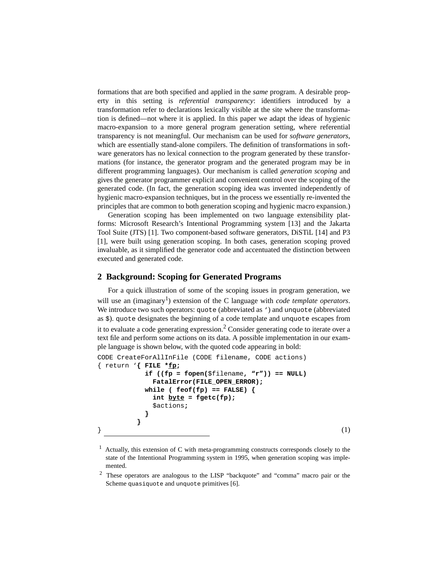formations that are both specified and applied in the *same* program. A desirable property in this setting is *referential transparency*: identifiers introduced by a transformation refer to declarations lexically visible at the site where the transformation is defined—not where it is applied. In this paper we adapt the ideas of hygienic macro-expansion to a more general program generation setting, where referential transparency is not meaningful. Our mechanism can be used for *software generators*, which are essentially stand-alone compilers. The definition of transformations in software generators has no lexical connection to the program generated by these transformations (for instance, the generator program and the generated program may be in different programming languages). Our mechanism is called *generation scoping* and gives the generator programmer explicit and convenient control over the scoping of the generated code. (In fact, the generation scoping idea was invented independently of hygienic macro-expansion techniques, but in the process we essentially re-invented the principles that are common to both generation scoping and hygienic macro expansion.)

Generation scoping has been implemented on two language extensibility platforms: Microsoft Research's Intentional Programming system [13] and the Jakarta Tool Suite (JTS) [1]. Two component-based software generators, DiSTiL [14] and P3 [1], were built using generation scoping. In both cases, generation scoping proved invaluable, as it simplified the generator code and accentuated the distinction between executed and generated code.

## **2 Background: Scoping for Generated Programs**

For a quick illustration of some of the scoping issues in program generation, we will use an (imaginary<sup>1</sup>) extension of the C language with *code template operators*. We introduce two such operators: quote (abbreviated as ') and unquote (abbreviated as \$). quote designates the beginning of a code template and unquote escapes from it to evaluate a code generating expression.<sup>2</sup> Consider generating code to iterate over a text file and perform some actions on its data. A possible implementation in our example language is shown below, with the quoted code appearing in bold:

```
CODE CreateForAllInFile (CODE filename, CODE actions)
{ return '{ FILE *fp;
         if ((fp = fopen($filename, "r")) == NULL)
           FatalError(FILE_OPEN_ERROR);
         while ( feof(fp) == FALSE) {
           int byte = fgetc(fp);
           $actions;
         }
        }
\} (1)
```
<sup>1</sup> Actually, this extension of C with meta-programming constructs corresponds closely to the state of the Intentional Programming system in 1995, when generation scoping was implemented.

<sup>2</sup> These operators are analogous to the LISP "backquote" and "comma" macro pair or the Scheme quasiquote and unquote primitives [6].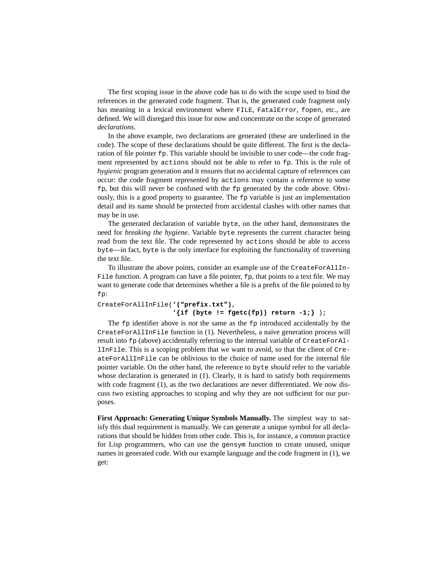The first scoping issue in the above code has to do with the scope used to bind the references in the generated code fragment. That is, the generated code fragment only has meaning in a lexical environment where FILE, FatalError, fopen, etc., are defined. We will disregard this issue for now and concentrate on the scope of generated *declarations*.

In the above example, two declarations are generated (these are underlined in the code). The scope of these declarations should be quite different. The first is the declaration of file pointer fp. This variable should be invisible to user code—the code fragment represented by actions should not be able to refer to fp. This is the rule of *hygienic* program generation and it ensures that no accidental capture of references can occur: the code fragment represented by actions may contain a reference to some fp, but this will never be confused with the fp generated by the code above. Obviously, this is a good property to guarantee. The f<sub>p</sub> variable is just an implementation detail and its name should be protected from accidental clashes with other names that may be in use.

The generated declaration of variable byte, on the other hand, demonstrates the need for *breaking the hygiene*. Variable byte represents the current character being read from the text file. The code represented by actions should be able to access byte—in fact, byte is the only interface for exploiting the functionality of traversing the text file.

To illustrate the above points, consider an example use of the CreateForAllIn-File function. A program can have a file pointer, fp, that points to a text file. We may want to generate code that determines whether a file is a prefix of the file pointed to by fp:

# CreateForAllInFile(**'("prefix.txt")**,

**'{if (byte != fgetc(fp)) return -1;}** );

The fp identifier above is *not* the same as the fp introduced accidentally by the CreateForAllInFile function in (1). Nevertheless, a naive generation process will result into fp (above) accidentally referring to the internal variable of CreateForAllInFile. This is a scoping problem that we want to avoid, so that the client of CreateForAllInFile can be oblivious to the choice of name used for the internal file pointer variable. On the other hand, the reference to byte *should* refer to the variable whose declaration is generated in (1). Clearly, it is hard to satisfy both requirements with code fragment (1), as the two declarations are never differentiated. We now discuss two existing approaches to scoping and why they are not sufficient for our purposes.

**First Approach: Generating Unique Symbols Manually.** The simplest way to satisfy this dual requirement is manually. We can generate a unique symbol for all declarations that should be hidden from other code. This is, for instance, a common practice for Lisp programmers, who can use the gensym function to create unused, unique names in generated code. With our example language and the code fragment in (1), we get: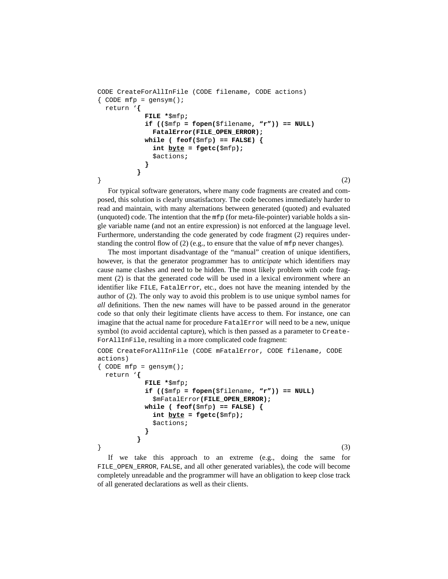```
CODE CreateForAllInFile (CODE filename, CODE actions)
{ CODE mfp = genusym();
 return '{
          FILE *$mfp;
          if (($mfp = fopen($filename, "r")) == NULL)
           FatalError(FILE_OPEN_ERROR);
         while ( feof($mfp) == FALSE) {
           int byte = fgetc($mfp);
           $actions;
          }
        }
\} (2)
```
For typical software generators, where many code fragments are created and composed, this solution is clearly unsatisfactory. The code becomes immediately harder to read and maintain, with many alternations between generated (quoted) and evaluated (unquoted) code. The intention that the mfp (for meta-file-pointer) variable holds a single variable name (and not an entire expression) is not enforced at the language level. Furthermore, understanding the code generated by code fragment (2) requires understanding the control flow of (2) (e.g., to ensure that the value of  $mfp$  never changes).

The most important disadvantage of the "manual" creation of unique identifiers, however, is that the generator programmer has to *anticipate* which identifiers may cause name clashes and need to be hidden. The most likely problem with code fragment (2) is that the generated code will be used in a lexical environment where an identifier like FILE, FatalError, etc., does not have the meaning intended by the author of (2). The only way to avoid this problem is to use unique symbol names for *all* definitions. Then the new names will have to be passed around in the generator code so that only their legitimate clients have access to them. For instance, one can imagine that the actual name for procedure FatalError will need to be a new, unique symbol (to avoid accidental capture), which is then passed as a parameter to Create-ForAllInFile, resulting in a more complicated code fragment:

```
CODE CreateForAllInFile (CODE mFatalError, CODE filename, CODE
actions)
\{ CODE mfp = qensym();
 return '{
          FILE *$mfp;
          if (($mfp = fopen($filename, "r")) == NULL)
           $mFatalError(FILE_OPEN_ERROR);
          while ( feof($mfp) == FALSE) {
           int byte = fgetc($mfp);
           $actions;
          }
        }
\} (3)
```
If we take this approach to an extreme (e.g., doing the same for FILE\_OPEN\_ERROR, FALSE, and all other generated variables), the code will become completely unreadable and the programmer will have an obligation to keep close track of all generated declarations as well as their clients.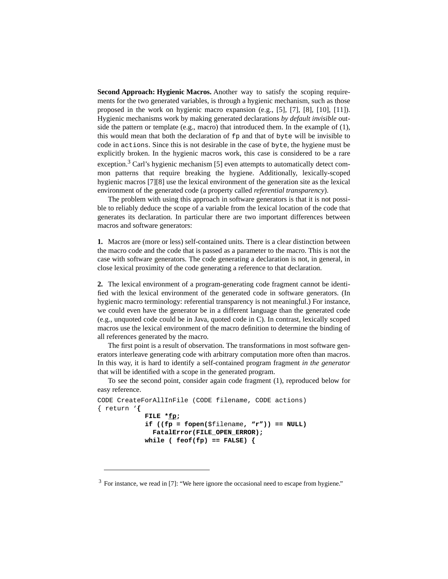**Second Approach: Hygienic Macros.** Another way to satisfy the scoping requirements for the two generated variables, is through a hygienic mechanism, such as those proposed in the work on hygienic macro expansion (e.g., [5], [7], [8], [10], [11]). Hygienic mechanisms work by making generated declarations *by default invisible* outside the pattern or template (e.g., macro) that introduced them. In the example of (1), this would mean that both the declaration of fp and that of byte will be invisible to code in actions. Since this is not desirable in the case of byte, the hygiene must be explicitly broken. In the hygienic macros work, this case is considered to be a rare exception.<sup>3</sup> Carl's hygienic mechanism [5] even attempts to automatically detect common patterns that require breaking the hygiene. Additionally, lexically-scoped hygienic macros [7][8] use the lexical environment of the generation site as the lexical environment of the generated code (a property called *referential transparency*).

The problem with using this approach in software generators is that it is not possible to reliably deduce the scope of a variable from the lexical location of the code that generates its declaration. In particular there are two important differences between macros and software generators:

**1.** Macros are (more or less) self-contained units. There is a clear distinction between the macro code and the code that is passed as a parameter to the macro. This is not the case with software generators. The code generating a declaration is not, in general, in close lexical proximity of the code generating a reference to that declaration.

**2.** The lexical environment of a program-generating code fragment cannot be identified with the lexical environment of the generated code in software generators. (In hygienic macro terminology: referential transparency is not meaningful.) For instance, we could even have the generator be in a different language than the generated code (e.g., unquoted code could be in Java, quoted code in C). In contrast, lexically scoped macros use the lexical environment of the macro definition to determine the binding of all references generated by the macro.

The first point is a result of observation. The transformations in most software generators interleave generating code with arbitrary computation more often than macros. In this way, it is hard to identify a self-contained program fragment *in the generator* that will be identified with a scope in the generated program.

To see the second point, consider again code fragment (1), reproduced below for easy reference.

```
CODE CreateForAllInFile (CODE filename, CODE actions)
{ return '{
            FILE *fp;
            if ((fp = fopen($filename, "r")) == NULL)
              FatalError(FILE_OPEN_ERROR);
            while ( feof(fp) == FALSE) {
```
 $3$  For instance, we read in [7]: "We here ignore the occasional need to escape from hygiene."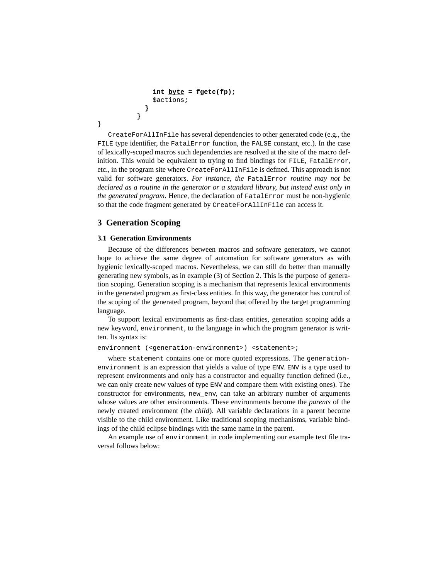```
int byte = fgetc(fp);
    $actions;
  }
}
```
CreateForAllInFile has several dependencies to other generated code (e.g., the FILE type identifier, the FatalError function, the FALSE constant, etc.). In the case of lexically-scoped macros such dependencies are resolved at the site of the macro definition. This would be equivalent to trying to find bindings for FILE, FatalError, etc., in the program site where CreateForAllInFile is defined. This approach is not valid for software generators. *For instance, the* FatalError *routine may not be declared as a routine in the generator or a standard library, but instead exist only in the generated program*. Hence, the declaration of FatalError must be non-hygienic so that the code fragment generated by CreateForAllInFile can access it.

## **3 Generation Scoping**

}

## **3.1 Generation Environments**

Because of the differences between macros and software generators, we cannot hope to achieve the same degree of automation for software generators as with hygienic lexically-scoped macros. Nevertheless, we can still do better than manually generating new symbols, as in example (3) of Section 2. This is the purpose of generation scoping. Generation scoping is a mechanism that represents lexical environments in the generated program as first-class entities. In this way, the generator has control of the scoping of the generated program, beyond that offered by the target programming language.

To support lexical environments as first-class entities, generation scoping adds a new keyword, environment, to the language in which the program generator is written. Its syntax is:

#### environment (<generation-environment>) <statement>;

where statement contains one or more quoted expressions. The generationenvironment is an expression that yields a value of type ENV. ENV is a type used to represent environments and only has a constructor and equality function defined (i.e., we can only create new values of type ENV and compare them with existing ones). The constructor for environments, new\_env, can take an arbitrary number of arguments whose values are other environments. These environments become the *parents* of the newly created environment (the *child*). All variable declarations in a parent become visible to the child environment. Like traditional scoping mechanisms, variable bindings of the child eclipse bindings with the same name in the parent.

An example use of environment in code implementing our example text file traversal follows below: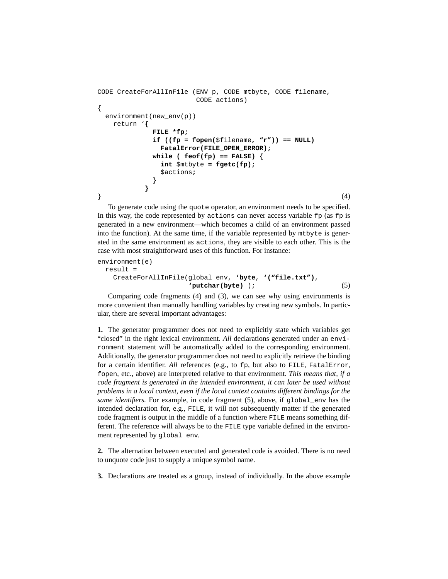```
CODE CreateForAllInFile (ENV p, CODE mtbyte, CODE filename,
                     CODE actions)
{
 environment(new_env(p))
   return '{
           FILE *fp;
           if ((fp = fopen($filename, "r")) == NULL)
             FatalError(FILE_OPEN_ERROR);
           while ( feof(fp) == FALSE) \{int $mtbyte = fgetc(fp);
             $actions;
           }
          }
\} (4)
```
To generate code using the quote operator, an environment needs to be specified. In this way, the code represented by actions can never access variable fp (as fp is generated in a new environment—which becomes a child of an environment passed into the function). At the same time, if the variable represented by mtbyte is generated in the same environment as actions, they are visible to each other. This is the case with most straightforward uses of this function. For instance:

```
environment(e)
 result =
   CreateForAllInFile(global_env, 'byte, '("file.txt"),
                   'putchar(byte) ); (5)
```
Comparing code fragments (4) and (3), we can see why using environments is more convenient than manually handling variables by creating new symbols. In particular, there are several important advantages:

**1.** The generator programmer does not need to explicitly state which variables get "closed" in the right lexical environment. *All* declarations generated under an environment statement will be automatically added to the corresponding environment. Additionally, the generator programmer does not need to explicitly retrieve the binding for a certain identifier. *All* references (e.g., to fp, but also to FILE, FatalError, fopen, etc., above) are interpreted relative to that environment. *This means that, if a code fragment is generated in the intended environment, it can later be used without problems in a local context, even if the local context contains different bindings for the same identifiers.* For example, in code fragment (5), above, if global\_env has the intended declaration for, e.g., FILE, it will not subsequently matter if the generated code fragment is output in the middle of a function where FILE means something different. The reference will always be to the FILE type variable defined in the environment represented by global\_env.

**2.** The alternation between executed and generated code is avoided. There is no need to unquote code just to supply a unique symbol name.

**3.** Declarations are treated as a group, instead of individually. In the above example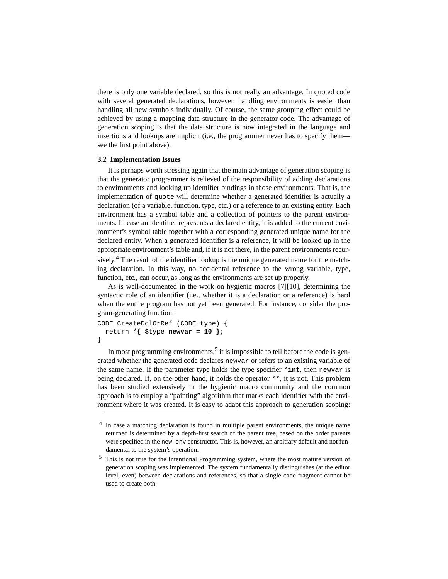there is only one variable declared, so this is not really an advantage. In quoted code with several generated declarations, however, handling environments is easier than handling all new symbols individually. Of course, the same grouping effect could be achieved by using a mapping data structure in the generator code. The advantage of generation scoping is that the data structure is now integrated in the language and insertions and lookups are implicit (i.e., the programmer never has to specify them see the first point above).

#### **3.2 Implementation Issues**

It is perhaps worth stressing again that the main advantage of generation scoping is that the generator programmer is relieved of the responsibility of adding declarations to environments and looking up identifier bindings in those environments. That is, the implementation of quote will determine whether a generated identifier is actually a declaration (of a variable, function, type, etc.) or a reference to an existing entity. Each environment has a symbol table and a collection of pointers to the parent environments. In case an identifier represents a declared entity, it is added to the current environment's symbol table together with a corresponding generated unique name for the declared entity. When a generated identifier is a reference, it will be looked up in the appropriate environment's table and, if it is not there, in the parent environments recur-

sively.<sup>4</sup> The result of the identifier lookup is the unique generated name for the matching declaration. In this way, no accidental reference to the wrong variable, type, function, etc., can occur, as long as the environments are set up properly.

As is well-documented in the work on hygienic macros [7][10], determining the syntactic role of an identifier (i.e., whether it is a declaration or a reference) is hard when the entire program has not yet been generated. For instance, consider the program-generating function:

```
CODE CreateDclOrRef (CODE type) {
  return '{ $type newvar = 10 };
}
```
In most programming environments,  $5$  it is impossible to tell before the code is generated whether the generated code declares newvar or refers to an existing variable of the same name. If the parameter type holds the type specifier **'int**, then newvar is being declared. If, on the other hand, it holds the operator **'\***, it is not. This problem has been studied extensively in the hygienic macro community and the common approach is to employ a "painting" algorithm that marks each identifier with the environment where it was created. It is easy to adapt this approach to generation scoping:

<sup>&</sup>lt;sup>4</sup> In case a matching declaration is found in multiple parent environments, the unique name returned is determined by a depth-first search of the parent tree, based on the order parents were specified in the new\_env constructor. This is, however, an arbitrary default and not fundamental to the system's operation.

<sup>5</sup> This is not true for the Intentional Programming system, where the most mature version of generation scoping was implemented. The system fundamentally distinguishes (at the editor level, even) between declarations and references, so that a single code fragment cannot be used to create both.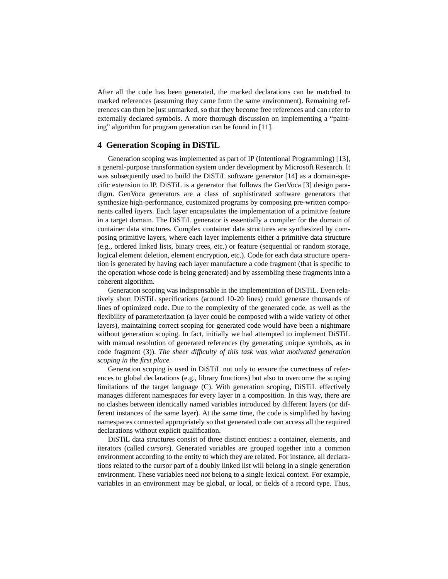After all the code has been generated, the marked declarations can be matched to marked references (assuming they came from the same environment). Remaining references can then be just unmarked, so that they become free references and can refer to externally declared symbols. A more thorough discussion on implementing a "painting" algorithm for program generation can be found in [11].

## **4 Generation Scoping in DiSTiL**

Generation scoping was implemented as part of IP (Intentional Programming) [13], a general-purpose transformation system under development by Microsoft Research. It was subsequently used to build the DiSTiL software generator [14] as a domain-specific extension to IP. DiSTiL is a generator that follows the GenVoca [3] design paradigm. GenVoca generators are a class of sophisticated software generators that synthesize high-performance, customized programs by composing pre-written components called *layers*. Each layer encapsulates the implementation of a primitive feature in a target domain. The DiSTiL generator is essentially a compiler for the domain of container data structures. Complex container data structures are synthesized by composing primitive layers, where each layer implements either a primitive data structure (e.g., ordered linked lists, binary trees, etc.) or feature (sequential or random storage, logical element deletion, element encryption, etc.). Code for each data structure operation is generated by having each layer manufacture a code fragment (that is specific to the operation whose code is being generated) and by assembling these fragments into a coherent algorithm.

Generation scoping was indispensable in the implementation of DiSTiL. Even relatively short DiSTiL specifications (around 10-20 lines) could generate thousands of lines of optimized code. Due to the complexity of the generated code, as well as the flexibility of parameterization (a layer could be composed with a wide variety of other layers), maintaining correct scoping for generated code would have been a nightmare without generation scoping. In fact, initially we had attempted to implement DiSTiL with manual resolution of generated references (by generating unique symbols, as in code fragment (3)). *The sheer difficulty of this task was what motivated generation scoping in the first place.*

Generation scoping is used in DiSTiL not only to ensure the correctness of references to global declarations (e.g., library functions) but also to overcome the scoping limitations of the target language (C). With generation scoping, DiSTiL effectively manages different namespaces for every layer in a composition. In this way, there are no clashes between identically named variables introduced by different layers (or different instances of the same layer). At the same time, the code is simplified by having namespaces connected appropriately so that generated code can access all the required declarations without explicit qualification.

DiSTiL data structures consist of three distinct entities: a container, elements, and iterators (called *cursors*). Generated variables are grouped together into a common environment according to the entity to which they are related. For instance, all declarations related to the cursor part of a doubly linked list will belong in a single generation environment. These variables need *not* belong to a single lexical context. For example, variables in an environment may be global, or local, or fields of a record type. Thus,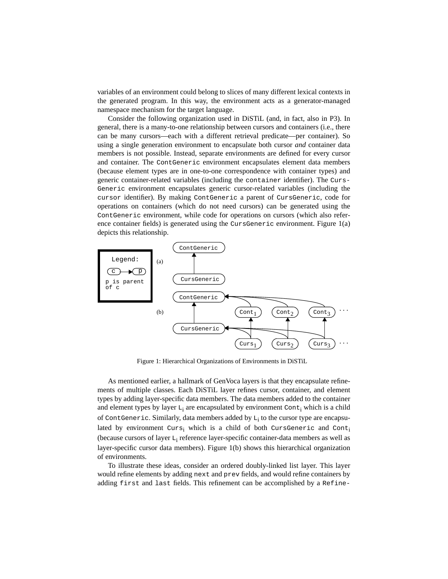variables of an environment could belong to slices of many different lexical contexts in the generated program. In this way, the environment acts as a generator-managed namespace mechanism for the target language.

Consider the following organization used in DiSTiL (and, in fact, also in P3). In general, there is a many-to-one relationship between cursors and containers (i.e., there can be many cursors—each with a different retrieval predicate—per container). So using a single generation environment to encapsulate both cursor *and* container data members is not possible. Instead, separate environments are defined for every cursor and container. The ContGeneric environment encapsulates element data members (because element types are in one-to-one correspondence with container types) and generic container-related variables (including the container identifier). The Curs-Generic environment encapsulates generic cursor-related variables (including the cursor identifier). By making ContGeneric a parent of CursGeneric, code for operations on containers (which do not need cursors) can be generated using the ContGeneric environment, while code for operations on cursors (which also reference container fields) is generated using the CursGeneric environment. Figure 1(a) depicts this relationship.



Figure 1: Hierarchical Organizations of Environments in DiSTiL

As mentioned earlier, a hallmark of GenVoca layers is that they encapsulate refinements of multiple classes. Each DiSTiL layer refines cursor, container, and element types by adding layer-specific data members. The data members added to the container and element types by layer  $L_i$  are encapsulated by environment  $Cont_i$  which is a child of ContGeneric. Similarly, data members added by  $L_i$  to the cursor type are encapsulated by environment Curs; which is a child of both CursGeneric and Cont; (because cursors of layer L<sup>i</sup> reference layer-specific container-data members as well as layer-specific cursor data members). Figure 1(b) shows this hierarchical organization of environments.

To illustrate these ideas, consider an ordered doubly-linked list layer. This layer would refine elements by adding next and prev fields, and would refine containers by adding first and last fields. This refinement can be accomplished by a Refine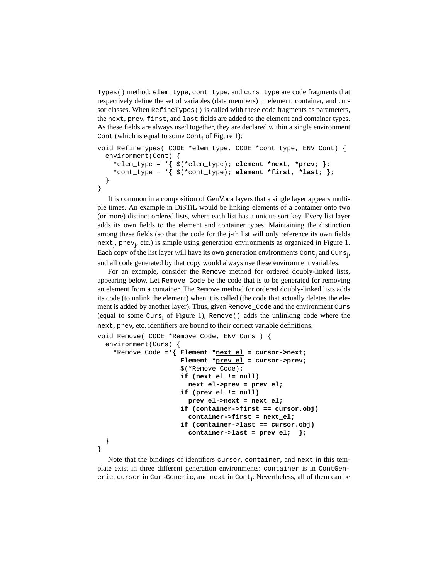Types() method: elem\_type, cont\_type, and curs\_type are code fragments that respectively define the set of variables (data members) in element, container, and cursor classes. When RefineTypes() is called with these code fragments as parameters, the next, prev, first, and last fields are added to the element and container types. As these fields are always used together, they are declared within a single environment Cont (which is equal to some  $\text{Cont}_{\text{i}}$  of Figure 1):

```
void RefineTypes( CODE *elem_type, CODE *cont_type, ENV Cont) {
  environment(Cont) {
    *elem_type = '{ $(*elem_type); element *next, *prev; };
    *cont_type = '{ $(*cont_type); element *first, *last; };
  }
}
```
It is common in a composition of GenVoca layers that a single layer appears multiple times. An example in DiSTiL would be linking elements of a container onto two (or more) distinct ordered lists, where each list has a unique sort key. Every list layer adds its own fields to the element and container types. Maintaining the distinction among these fields (so that the code for the j-th list will only reference its own fields next<sub>j</sub>, prev<sub>j</sub>, etc.) is simple using generation environments as organized in Figure 1. Each copy of the list layer will have its own generation environments  $\text{Cont}_{j}$  and  $\text{Curs}_j$ , and all code generated by that copy would always use these environment variables.

For an example, consider the Remove method for ordered doubly-linked lists, appearing below. Let Remove\_Code be the code that is to be generated for removing an element from a container. The Remove method for ordered doubly-linked lists adds its code (to unlink the element) when it is called (the code that actually deletes the element is added by another layer). Thus, given Remove\_Code and the environment Curs (equal to some Curs<sub>i</sub> of Figure 1), Remove() adds the unlinking code where the next, prev, etc. identifiers are bound to their correct variable definitions.

```
void Remove( CODE *Remove_Code, ENV Curs ) {
  environment(Curs) {
    *Remove_Code ='{ Element *next_el = cursor->next;
                     Element *prev_el = cursor->prev;
                     $(*Remove_Code);
                      if (next_el != null)
                       next_el->prev = prev_el;
                     if (prev_el != null)
                       prev_el->next = next_el;
                     if (container->first == cursor.obj)
                       container->first = next_el;
                      if (container->last == cursor.obj)
                       container->last = prev_el; };
  }
}
```
Note that the bindings of identifiers cursor, container, and next in this template exist in three different generation environments: container is in ContGeneric, cursor in CursGeneric, and next in Cont<sub>i</sub>. Nevertheless, all of them can be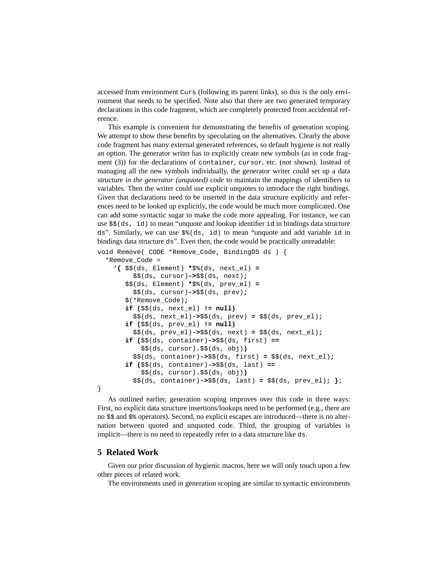accessed from environment Curs (following its parent links), so this is the only environment that needs to be specified. Note also that there are two generated temporary declarations in this code fragment, which are completely protected from accidental reference.

This example is convenient for demonstrating the benefits of generation scoping. We attempt to show these benefits by speculating on the alternatives. Clearly the above code fragment has many external generated references, so default hygiene is not really an option. The generator writer has to explicitly create new symbols (as in code fragment (3)) for the declarations of container, cursor, etc. (not shown). Instead of managing all the new symbols individually, the generator writer could set up a data structure *in the generator (unquoted) code* to maintain the mappings of identifiers to variables. Then the writer could use explicit unquotes to introduce the right bindings. Given that declarations need to be inserted in the data structure explicitly and references need to be looked up explicitly, the code would be much more complicated. One can add some syntactic sugar to make the code more appealing. For instance, we can use \$\$(ds, id) to mean "unquote and lookup identifier id in bindings data structure ds". Similarly, we can use \$%(ds, id) to mean "unquote and add variable id in bindings data structure ds". Even then, the code would be practically unreadable:

```
void Remove( CODE *Remove_Code, BindingDS ds ) {
  *Remove_Code =
    '{ $$(ds, Element) *$%(ds, next_el) =
         $$(ds, cursor)->$$(ds, next);
       $$(ds, Element) *$%(ds, prev_el) =
         $$(ds, cursor)->$$(ds, prev);
       $(*Remove_Code);
        if ($$(ds, next_el) != null)
         $$(ds, next_el)->$$(ds, prev) = $$(ds, prev_el);
       if ($$(ds, prev_el) != null)
         $$(ds, prev_el)->$$(ds, next) = $$(ds, next_el);
       if ($$(ds, container)->$$(ds, first) ==
           $$(ds, cursor).$$(ds, obj))
         $$(ds, container)->$$(ds, first) = $$(ds, next_el);
        if ($$(ds, container)->$$(ds, last) ==
           $$(ds, cursor).$$(ds, obj))
         $$(ds, container)->$$(ds, last) = $$(ds, prev_el); };
}
```
As outlined earlier, generation scoping improves over this code in three ways: First, no explicit data structure insertions/lookups need to be performed (e.g., there are no \$\$ and \$% operators). Second, no explicit escapes are introduced—there is no alternation between quoted and unquoted code. Third, the grouping of variables is implicit—there is no need to repeatedly refer to a data structure like ds.

## **5 Related Work**

Given our prior discussion of hygienic macros, here we will only touch upon a few other pieces of related work.

The environments used in generation scoping are similar to syntactic environments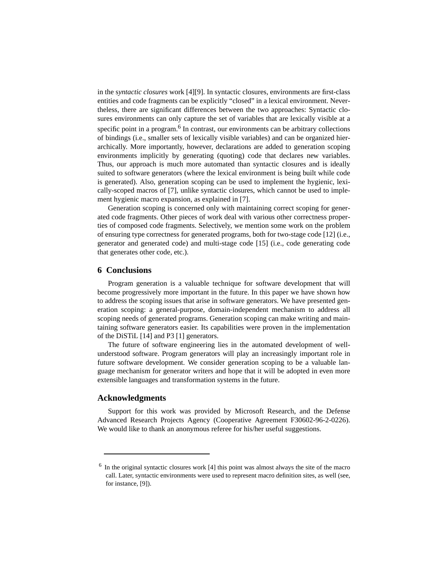in the s*yntactic closures* work [4][9]. In syntactic closures, environments are first-class entities and code fragments can be explicitly "closed" in a lexical environment. Nevertheless, there are significant differences between the two approaches: Syntactic closures environments can only capture the set of variables that are lexically visible at a specific point in a program.<sup>6</sup> In contrast, our environments can be arbitrary collections of bindings (i.e., smaller sets of lexically visible variables) and can be organized hierarchically. More importantly, however, declarations are added to generation scoping environments implicitly by generating (quoting) code that declares new variables. Thus, our approach is much more automated than syntactic closures and is ideally suited to software generators (where the lexical environment is being built while code is generated). Also, generation scoping can be used to implement the hygienic, lexically-scoped macros of [7], unlike syntactic closures, which cannot be used to implement hygienic macro expansion, as explained in [7].

Generation scoping is concerned only with maintaining correct scoping for generated code fragments. Other pieces of work deal with various other correctness properties of composed code fragments. Selectively, we mention some work on the problem of ensuring type correctness for generated programs, both for two-stage code [12] (i.e., generator and generated code) and multi-stage code [15] (i.e., code generating code that generates other code, etc.).

#### **6 Conclusions**

Program generation is a valuable technique for software development that will become progressively more important in the future. In this paper we have shown how to address the scoping issues that arise in software generators. We have presented generation scoping: a general-purpose, domain-independent mechanism to address all scoping needs of generated programs. Generation scoping can make writing and maintaining software generators easier. Its capabilities were proven in the implementation of the DiSTiL [14] and P3 [1] generators.

The future of software engineering lies in the automated development of wellunderstood software. Program generators will play an increasingly important role in future software development. We consider generation scoping to be a valuable language mechanism for generator writers and hope that it will be adopted in even more extensible languages and transformation systems in the future.

## **Acknowledgments**

Support for this work was provided by Microsoft Research, and the Defense Advanced Research Projects Agency (Cooperative Agreement F30602-96-2-0226). We would like to thank an anonymous referee for his/her useful suggestions.

 $6\,$  In the original syntactic closures work [4] this point was almost always the site of the macro call. Later, syntactic environments were used to represent macro definition sites, as well (see, for instance, [9]).